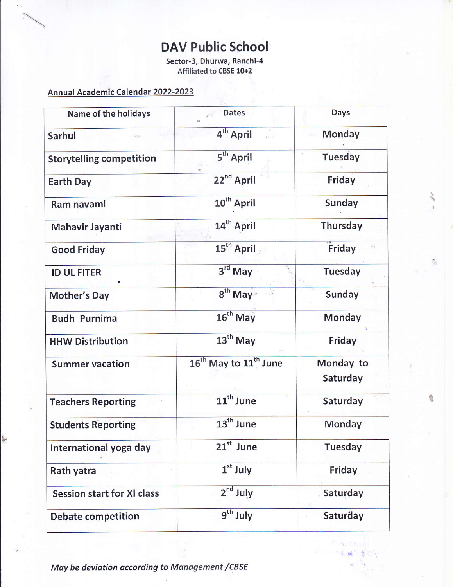# DAV Public School

Sector-3, Dhurwa, Ranchi-4 Affiliated to CBSE 10+2

#### Annual Academic Calendar 2022-2023

| Name of the holidays              | <b>Dates</b>                                  | <b>Days</b>           |
|-----------------------------------|-----------------------------------------------|-----------------------|
| <b>Sarhul</b>                     | 4 <sup>th</sup> April<br>$\mathbf{r}$         | Monday                |
| <b>Storytelling competition</b>   | 5 <sup>th</sup> April                         | <b>Tuesday</b>        |
| <b>Earth Day</b>                  | 22 <sup>nd</sup> April                        | Friday                |
| Ram navami                        | 10 <sup>th</sup> April                        | Sunday                |
| Mahavir Jayanti                   | 14 <sup>th</sup> April                        | Thursday              |
| <b>Good Friday</b>                | 15 <sup>th</sup> April                        | Friday                |
| <b>ID UL FITER</b>                | $3rd$ May                                     | Tuesday               |
| <b>Mother's Day</b>               | $8th$ May                                     | Sunday                |
| <b>Budh Purnima</b>               | 16 <sup>th</sup> May                          | Monday                |
| <b>HHW Distribution</b>           | $13th$ May                                    | Friday                |
| <b>Summer vacation</b>            | 16 <sup>th</sup> May to 11 <sup>th</sup> June | Monday to<br>Saturday |
| <b>Teachers Reporting</b>         | 11 <sup>th</sup> June                         | Saturday              |
| <b>Students Reporting</b>         | 13 <sup>th</sup> June                         | Monday                |
| International yoga day            | $21st$ June                                   | Tuesday               |
| Rath yatra                        | $1st$ July                                    | Friday                |
| <b>Session start for XI class</b> | $2nd$ July                                    | Saturday              |
| <b>Debate competition</b>         | $9th$ July                                    | Saturday              |

0

 $\frac{1}{2}$ 枣

May be deviation according to Management / CBSE

v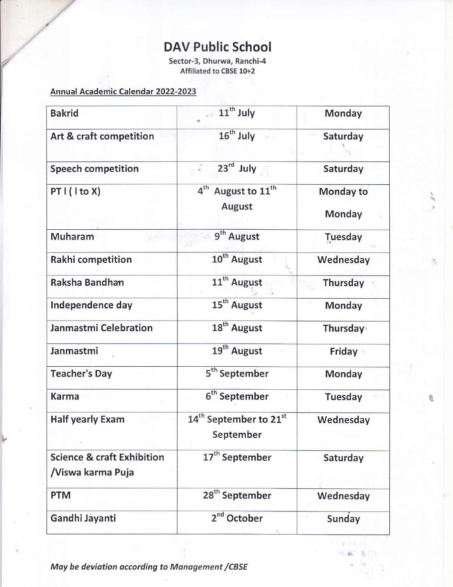# DAV Public School

Sector-3, Dhurwa, Ranchi-4 Affiliated to cBsE 10+2

#### Annual Academic Calendar 2022-2023

 $\mathcal{C}$ 

t

| <b>Bakrid</b>                                              | 11 <sup>th</sup> July                                          | <b>Monday</b>       |
|------------------------------------------------------------|----------------------------------------------------------------|---------------------|
| Art & craft competition                                    | $16th$ July                                                    | Saturday            |
| <b>Speech competition</b>                                  | 23rd July                                                      | Saturday            |
| PT I (I to X)                                              | 4 <sup>th</sup><br>August to 11 <sup>th</sup><br><b>August</b> | Monday to<br>Monday |
| <b>Muharam</b>                                             | 9 <sup>th</sup> August                                         | Tuesday             |
| Rakhi competition                                          | 10 <sup>th</sup> August                                        | Wednesday           |
| Raksha Bandhan                                             | 11 <sup>th</sup> August                                        | Thursday            |
| Independence day                                           | 15 <sup>th</sup> August                                        | Monday              |
| Janmastmi Celebration                                      | 18 <sup>th</sup> August                                        | Thursday            |
| Janmastmi                                                  | 19 <sup>th</sup> August                                        | <b>Friday</b>       |
| <b>Teacher's Day</b>                                       | 5 <sup>th</sup> September                                      | Monday              |
| <b>Karma</b>                                               | 6 <sup>th</sup> September                                      | <b>Tuesday</b>      |
| <b>Half yearly Exam</b>                                    | 14 <sup>th</sup> September to 21 <sup>st</sup><br>September    | Wednesday           |
| <b>Science &amp; craft Exhibition</b><br>/Viswa karma Puja | 17 <sup>th</sup> September                                     | Saturday            |
| <b>PTM</b>                                                 | 28 <sup>th</sup> September                                     | Wednesday           |
| Gandhi Jayanti                                             | $2nd$ October                                                  | Sunday              |

 $^{\circ}$ 

 $k_{\rm B}$ 

鹰

May be deviation according to Management / CBSE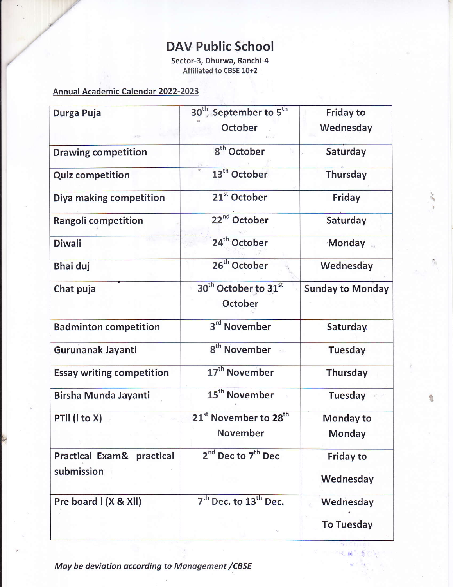# DAV Public School

Sector-3, Dhurwa, Ranchi-4 Affiliated to cBsE 10+2

#### Annual Academic Calendar 2022-2023

| Durga Puja                       | 30 <sup>th</sup> September to 5 <sup>th</sup><br>October | <b>Friday to</b><br>Wednesday |
|----------------------------------|----------------------------------------------------------|-------------------------------|
| <b>Drawing competition</b>       | 8 <sup>th</sup> October                                  | Saturday                      |
| <b>Quiz competition</b>          | 13 <sup>th</sup> October                                 | Thursday                      |
| Diya making competition          | 21 <sup>st</sup> October                                 | Friday                        |
| Rangoli competition              | 22 <sup>nd</sup> October                                 | Saturday                      |
| <b>Diwali</b>                    | 24 <sup>th</sup> October                                 | Monday                        |
| <b>Bhai duj</b>                  | 26 <sup>th</sup> October                                 | Wednesday                     |
| Chat puja                        | 30 <sup>th</sup> October to 31st                         | <b>Sunday to Monday</b>       |
|                                  | October                                                  |                               |
| <b>Badminton competition</b>     | 3 <sup>rd</sup> November                                 | Saturday                      |
| Gurunanak Jayanti                | 8 <sup>th</sup> November                                 | Tuesday                       |
| <b>Essay writing competition</b> | 17 <sup>th</sup> November                                | Thursday                      |
| Birsha Munda Jayanti             | 15 <sup>th</sup> November                                | <b>Tuesday</b>                |
| PTII (I to X)                    | 21 <sup>st</sup> November to 28 <sup>th</sup>            | Monday to                     |
|                                  | November                                                 | Monday                        |
| Practical Exam& practical        | 2 <sup>nd</sup> Dec to 7 <sup>th</sup> Dec               | Friday to                     |
| submission                       |                                                          | Wednesday                     |
| Pre board I (X & XII)            | 7 <sup>th</sup> Dec. to 13 <sup>th</sup> Dec.            | Wednesday                     |
|                                  |                                                          | <b>To Tuesday</b>             |

6,

 $k_{\rm H}$ 枣

May be deviation according to Management / CBSE

t,